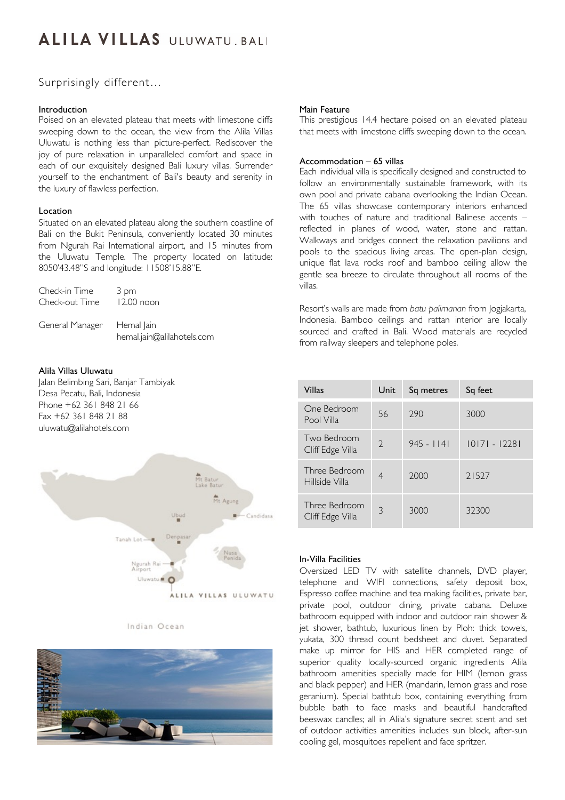# **ALILA VILLAS** ULUWATU BALI

# Surprisingly different…

# Introduction

Poised on an elevated plateau that meets with limestone cliffs sweeping down to the ocean, the view from the Alila Villas Uluwatu is nothing less than picture-perfect. Rediscover the joy of pure relaxation in unparalleled comfort and space in each of our exquisitely designed Bali luxury villas. Surrender yourself to the enchantment of Bali's beauty and serenity in the luxury of flawless perfection.

# Location

Situated on an elevated plateau along the southern coastline of Bali on the Bukit Peninsula, conveniently located 30 minutes from Ngurah Rai International airport, and 15 minutes from the Uluwatu Temple. The property located on latitude: 8050'43.48"S and longitude: 11508'15.88"E.

| Check-in Time   | 3 pm                                     |
|-----------------|------------------------------------------|
| Check-out Time  | $12.00$ noon                             |
| General Manager | Hemal Jain<br>hemal.jain@alilahotels.com |

# Alila Villas Uluwatu

Jalan Belimbing Sari, Banjar Tambiyak Desa Pecatu, Bali, Indonesia Phone +62 361 848 21 66 Fax +62 361 848 21 88 uluwatu@alilahotels.com



#### Indian Ocean



### Main Feature

This prestigious 14.4 hectare poised on an elevated plateau that meets with limestone cliffs sweeping down to the ocean.

# Accommodation – 65 villas

Each individual villa is specifically designed and constructed to follow an environmentally sustainable framework, with its own pool and private cabana overlooking the Indian Ocean. The 65 villas showcase contemporary interiors enhanced with touches of nature and traditional Balinese accents – reflected in planes of wood, water, stone and rattan. Walkways and bridges connect the relaxation pavilions and pools to the spacious living areas. The open-plan design, unique flat lava rocks roof and bamboo ceiling allow the gentle sea breeze to circulate throughout all rooms of the villas.

Resort's walls are made from *batu palimanan* from Jogjakarta, Indonesia. Bamboo ceilings and rattan interior are locally sourced and crafted in Bali. Wood materials are recycled from railway sleepers and telephone poles.

| Villas                            | Unit          | Sq metres    | Sq feet         |
|-----------------------------------|---------------|--------------|-----------------|
| One Bedroom<br>Pool Villa         | 56            | 790          | 3000            |
| Two Bedroom<br>Cliff Edge Villa   | $\mathcal{D}$ | $945 - 1141$ | $ 0 7  -  228 $ |
| Three Bedroom<br>Hillside Villa   | 4             | 2000         | 21527           |
| Three Bedroom<br>Cliff Edge Villa | 3             | 3000         | 32300           |

### In-Villa Facilities

Oversized LED TV with satellite channels, DVD player, telephone and WIFI connections, safety deposit box, Espresso coffee machine and tea making facilities, private bar, private pool, outdoor dining, private cabana. Deluxe bathroom equipped with indoor and outdoor rain shower & jet shower, bathtub, luxurious linen by Ploh: thick towels, yukata, 300 thread count bedsheet and duvet. Separated make up mirror for HIS and HER completed range of superior quality locally-sourced organic ingredients Alila bathroom amenities specially made for HIM (lemon grass and black pepper) and HER (mandarin, lemon grass and rose geranium). Special bathtub box, containing everything from bubble bath to face masks and beautiful handcrafted beeswax candles; all in Alila's signature secret scent and set of outdoor activities amenities includes sun block, after-sun cooling gel, mosquitoes repellent and face spritzer.